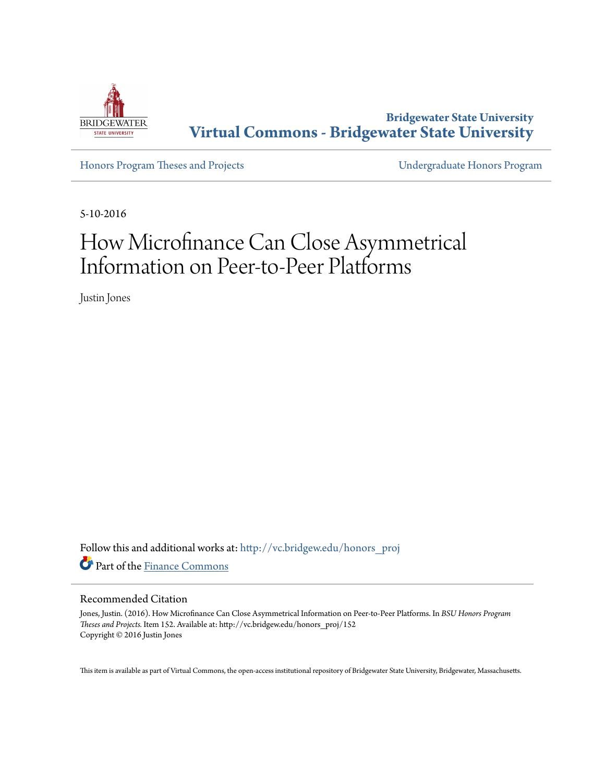

**Bridgewater State University [Virtual Commons - Bridgewater State University](http://vc.bridgew.edu?utm_source=vc.bridgew.edu%2Fhonors_proj%2F152&utm_medium=PDF&utm_campaign=PDFCoverPages)**

[Honors Program Theses and Projects](http://vc.bridgew.edu/honors_proj?utm_source=vc.bridgew.edu%2Fhonors_proj%2F152&utm_medium=PDF&utm_campaign=PDFCoverPages) [Undergraduate Honors Program](http://vc.bridgew.edu/honors?utm_source=vc.bridgew.edu%2Fhonors_proj%2F152&utm_medium=PDF&utm_campaign=PDFCoverPages)

5-10-2016

## How Microfinance Can Close Asymmetrical Information on Peer-to-Peer Platforms

Justin Jones

Follow this and additional works at: [http://vc.bridgew.edu/honors\\_proj](http://vc.bridgew.edu/honors_proj?utm_source=vc.bridgew.edu%2Fhonors_proj%2F152&utm_medium=PDF&utm_campaign=PDFCoverPages) Part of the [Finance Commons](http://network.bepress.com/hgg/discipline/345?utm_source=vc.bridgew.edu%2Fhonors_proj%2F152&utm_medium=PDF&utm_campaign=PDFCoverPages)

#### Recommended Citation

Jones, Justin. (2016). How Microfinance Can Close Asymmetrical Information on Peer-to-Peer Platforms. In *BSU Honors Program Theses and Projects.* Item 152. Available at: http://vc.bridgew.edu/honors\_proj/152 Copyright © 2016 Justin Jones

This item is available as part of Virtual Commons, the open-access institutional repository of Bridgewater State University, Bridgewater, Massachusetts.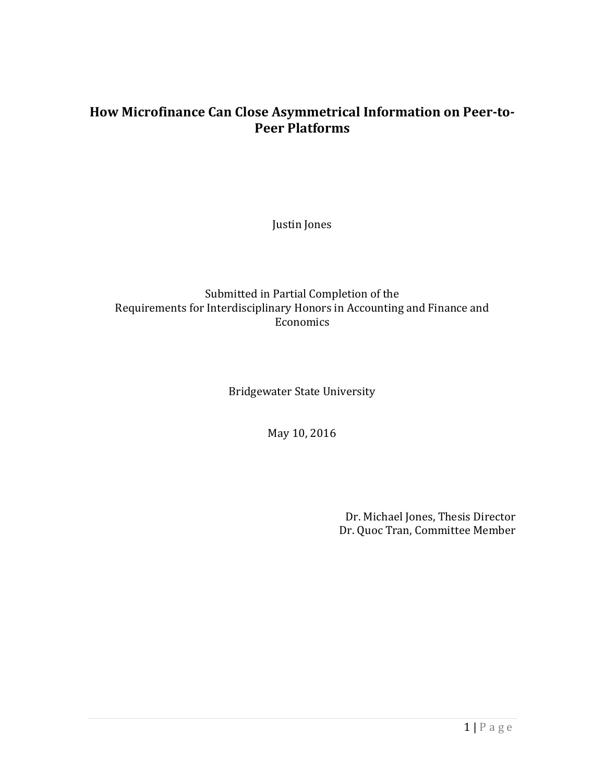#### **How Microfinance Can Close Asymmetrical Information on Peer-to-Peer Platforms**

Justin Jones

#### Submitted in Partial Completion of the Requirements for Interdisciplinary Honors in Accounting and Finance and Economics

Bridgewater State University

May 10, 2016

Dr. Michael Jones, Thesis Director Dr. Quoc Tran, Committee Member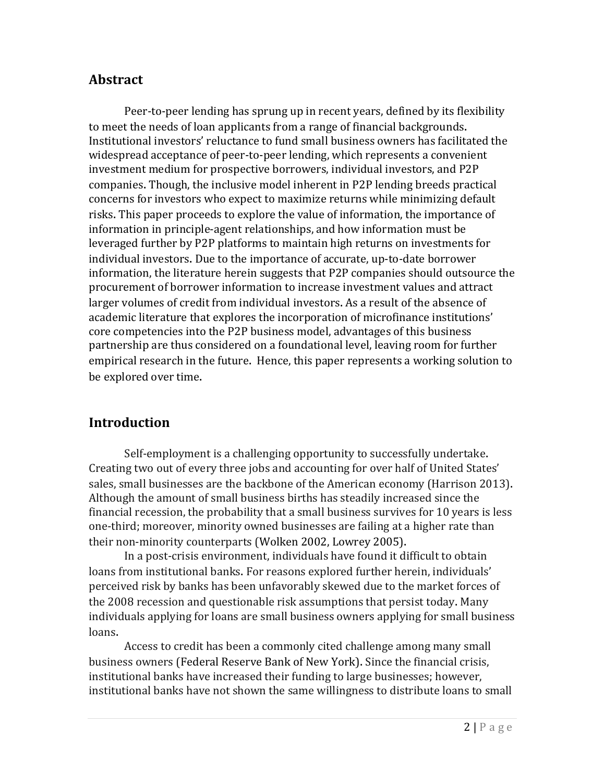#### **Abstract**

Peer-to-peer lending has sprung up in recent years, defined by its flexibility to meet the needs of loan applicants from a range of financial backgrounds. Institutional investors' reluctance to fund small business owners has facilitated the widespread acceptance of peer-to-peer lending, which represents a convenient investment medium for prospective borrowers, individual investors, and P2P companies. Though, the inclusive model inherent in P2P lending breeds practical concerns for investors who expect to maximize returns while minimizing default risks. This paper proceeds to explore the value of information, the importance of information in principle-agent relationships, and how information must be leveraged further by P2P platforms to maintain high returns on investments for individual investors. Due to the importance of accurate, up-to-date borrower information, the literature herein suggests that P2P companies should outsource the procurement of borrower information to increase investment values and attract larger volumes of credit from individual investors. As a result of the absence of academic literature that explores the incorporation of microfinance institutions' core competencies into the P2P business model, advantages of this business partnership are thus considered on a foundational level, leaving room for further empirical research in the future. Hence, this paper represents a working solution to be explored over time.

### **Introduction**

Self-employment is a challenging opportunity to successfully undertake. Creating two out of every three jobs and accounting for over half of United States' sales, small businesses are the backbone of the American economy (Harrison 2013). Although the amount of small business births has steadily increased since the financial recession, the probability that a small business survives for 10 years is less one-third; moreover, minority owned businesses are failing at a higher rate than their non-minority counterparts (Wolken 2002, Lowrey 2005).

In a post-crisis environment, individuals have found it difficult to obtain loans from institutional banks. For reasons explored further herein, individuals' perceived risk by banks has been unfavorably skewed due to the market forces of the 2008 recession and questionable risk assumptions that persist today. Many individuals applying for loans are small business owners applying for small business loans.

Access to credit has been a commonly cited challenge among many small business owners (Federal Reserve Bank of New York). Since the financial crisis, institutional banks have increased their funding to large businesses; however, institutional banks have not shown the same willingness to distribute loans to small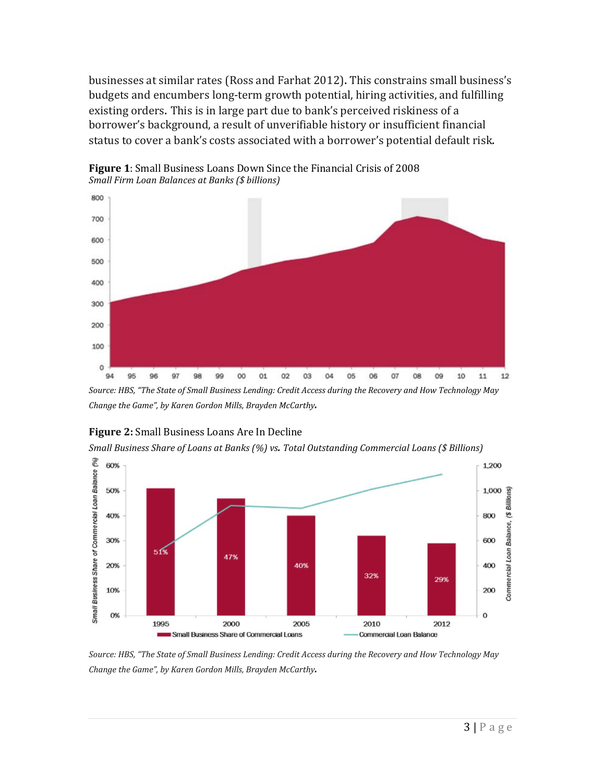businesses at similar rates (Ross and Farhat 2012). This constrains small business's budgets and encumbers long-term growth potential, hiring activities, and fulfilling existing orders. This is in large part due to bank's perceived riskiness of a borrower's background, a result of unverifiable history or insufficient financial status to cover a bank's costs associated with a borrower's potential default risk.



**Figure 1**: Small Business Loans Down Since the Financial Crisis of 2008 *Small Firm Loan Balances at Banks (\$ billions)* 

*Source: HBS, "The State of Small Business Lending: Credit Access during the Recovery and How Technology May Change the Game", by Karen Gordon Mills, Brayden McCarthy.*



**Figure 2:** Small Business Loans Are In Decline

*Small Business Share of Loans at Banks (%) vs. Total Outstanding Commercial Loans (\$ Billions)* 

*Source: HBS, "The State of Small Business Lending: Credit Access during the Recovery and How Technology May Change the Game", by Karen Gordon Mills, Brayden McCarthy.*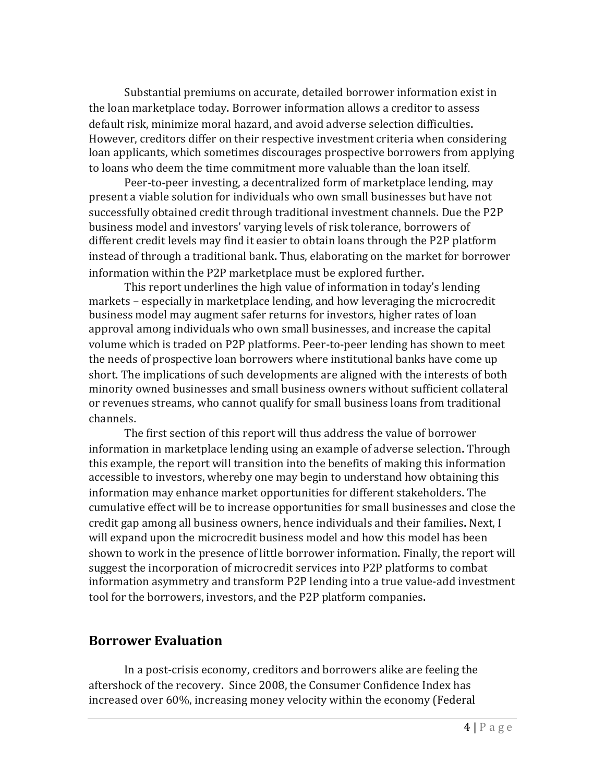Substantial premiums on accurate, detailed borrower information exist in the loan marketplace today. Borrower information allows a creditor to assess default risk, minimize moral hazard, and avoid adverse selection difficulties. However, creditors differ on their respective investment criteria when considering loan applicants, which sometimes discourages prospective borrowers from applying to loans who deem the time commitment more valuable than the loan itself.

Peer-to-peer investing, a decentralized form of marketplace lending, may present a viable solution for individuals who own small businesses but have not successfully obtained credit through traditional investment channels. Due the P2P business model and investors' varying levels of risk tolerance, borrowers of different credit levels may find it easier to obtain loans through the P2P platform instead of through a traditional bank. Thus, elaborating on the market for borrower information within the P2P marketplace must be explored further.

This report underlines the high value of information in today's lending markets – especially in marketplace lending, and how leveraging the microcredit business model may augment safer returns for investors, higher rates of loan approval among individuals who own small businesses, and increase the capital volume which is traded on P2P platforms. Peer-to-peer lending has shown to meet the needs of prospective loan borrowers where institutional banks have come up short. The implications of such developments are aligned with the interests of both minority owned businesses and small business owners without sufficient collateral or revenues streams, who cannot qualify for small business loans from traditional channels.

The first section of this report will thus address the value of borrower information in marketplace lending using an example of adverse selection. Through this example, the report will transition into the benefits of making this information accessible to investors, whereby one may begin to understand how obtaining this information may enhance market opportunities for different stakeholders. The cumulative effect will be to increase opportunities for small businesses and close the credit gap among all business owners, hence individuals and their families. Next, I will expand upon the microcredit business model and how this model has been shown to work in the presence of little borrower information. Finally, the report will suggest the incorporation of microcredit services into P2P platforms to combat information asymmetry and transform P2P lending into a true value-add investment tool for the borrowers, investors, and the P2P platform companies.

#### **Borrower Evaluation**

In a post-crisis economy, creditors and borrowers alike are feeling the aftershock of the recovery. Since 2008, the Consumer Confidence Index has increased over 60%, increasing money velocity within the economy (Federal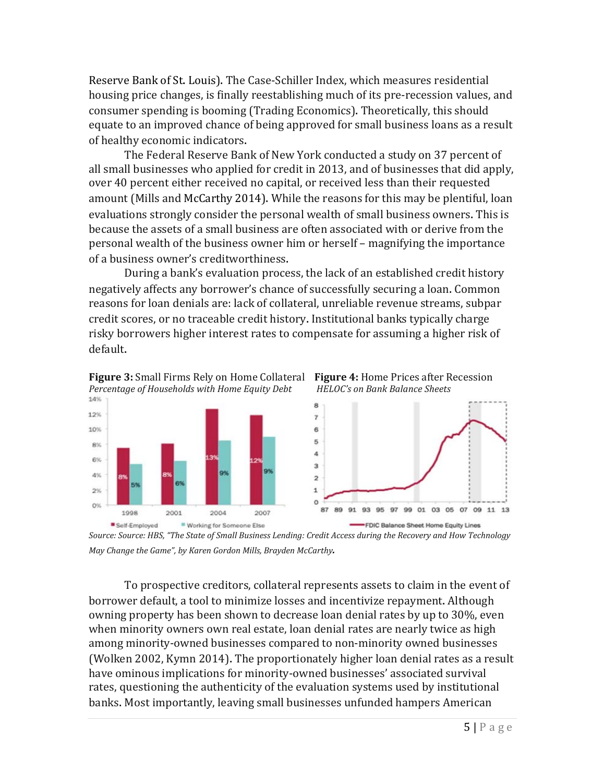Reserve Bank of St. Louis). The Case-Schiller Index, which measures residential housing price changes, is finally reestablishing much of its pre-recession values, and consumer spending is booming (Trading Economics). Theoretically, this should equate to an improved chance of being approved for small business loans as a result of healthy economic indicators.

The Federal Reserve Bank of New York conducted a study on 37 percent of all small businesses who applied for credit in 2013, and of businesses that did apply, over 40 percent either received no capital, or received less than their requested amount (Mills and McCarthy 2014). While the reasons for this may be plentiful, loan evaluations strongly consider the personal wealth of small business owners. This is because the assets of a small business are often associated with or derive from the personal wealth of the business owner him or herself – magnifying the importance of a business owner's creditworthiness.

During a bank's evaluation process, the lack of an established credit history negatively affects any borrower's chance of successfully securing a loan. Common reasons for loan denials are: lack of collateral, unreliable revenue streams, subpar credit scores, or no traceable credit history. Institutional banks typically charge risky borrowers higher interest rates to compensate for assuming a higher risk of default.



*Source: Source: HBS, "The State of Small Business Lending: Credit Access during the Recovery and How Technology May Change the Game", by Karen Gordon Mills, Brayden McCarthy.*

To prospective creditors, collateral represents assets to claim in the event of borrower default, a tool to minimize losses and incentivize repayment. Although owning property has been shown to decrease loan denial rates by up to 30%, even when minority owners own real estate, loan denial rates are nearly twice as high among minority-owned businesses compared to non-minority owned businesses (Wolken 2002, Kymn 2014). The proportionately higher loan denial rates as a result have ominous implications for minority-owned businesses' associated survival rates, questioning the authenticity of the evaluation systems used by institutional banks. Most importantly, leaving small businesses unfunded hampers American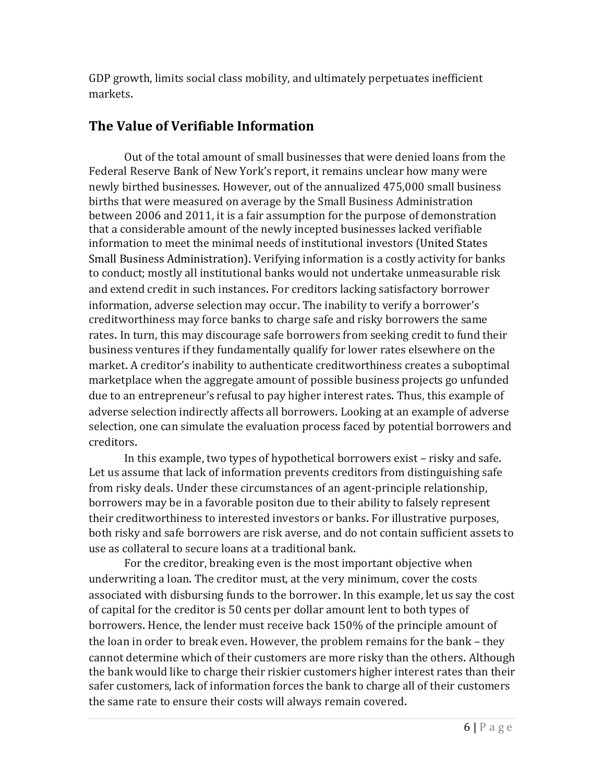GDP growth, limits social class mobility, and ultimately perpetuates inefficient markets.

### **The Value of Verifiable Information**

Out of the total amount of small businesses that were denied loans from the Federal Reserve Bank of New York's report, it remains unclear how many were newly birthed businesses. However, out of the annualized 475,000 small business births that were measured on average by the Small Business Administration between 2006 and 2011, it is a fair assumption for the purpose of demonstration that a considerable amount of the newly incepted businesses lacked verifiable information to meet the minimal needs of institutional investors (United States Small Business Administration). Verifying information is a costly activity for banks to conduct; mostly all institutional banks would not undertake unmeasurable risk and extend credit in such instances. For creditors lacking satisfactory borrower information, adverse selection may occur. The inability to verify a borrower's creditworthiness may force banks to charge safe and risky borrowers the same rates. In turn, this may discourage safe borrowers from seeking credit to fund their business ventures if they fundamentally qualify for lower rates elsewhere on the market. A creditor's inability to authenticate creditworthiness creates a suboptimal marketplace when the aggregate amount of possible business projects go unfunded due to an entrepreneur's refusal to pay higher interest rates. Thus, this example of adverse selection indirectly affects all borrowers. Looking at an example of adverse selection, one can simulate the evaluation process faced by potential borrowers and creditors.

In this example, two types of hypothetical borrowers exist – risky and safe. Let us assume that lack of information prevents creditors from distinguishing safe from risky deals. Under these circumstances of an agent-principle relationship, borrowers may be in a favorable positon due to their ability to falsely represent their creditworthiness to interested investors or banks. For illustrative purposes, both risky and safe borrowers are risk averse, and do not contain sufficient assets to use as collateral to secure loans at a traditional bank.

For the creditor, breaking even is the most important objective when underwriting a loan. The creditor must, at the very minimum, cover the costs associated with disbursing funds to the borrower. In this example, let us say the cost of capital for the creditor is 50 cents per dollar amount lent to both types of borrowers. Hence, the lender must receive back 150% of the principle amount of the loan in order to break even. However, the problem remains for the bank – they cannot determine which of their customers are more risky than the others. Although the bank would like to charge their riskier customers higher interest rates than their safer customers, lack of information forces the bank to charge all of their customers the same rate to ensure their costs will always remain covered.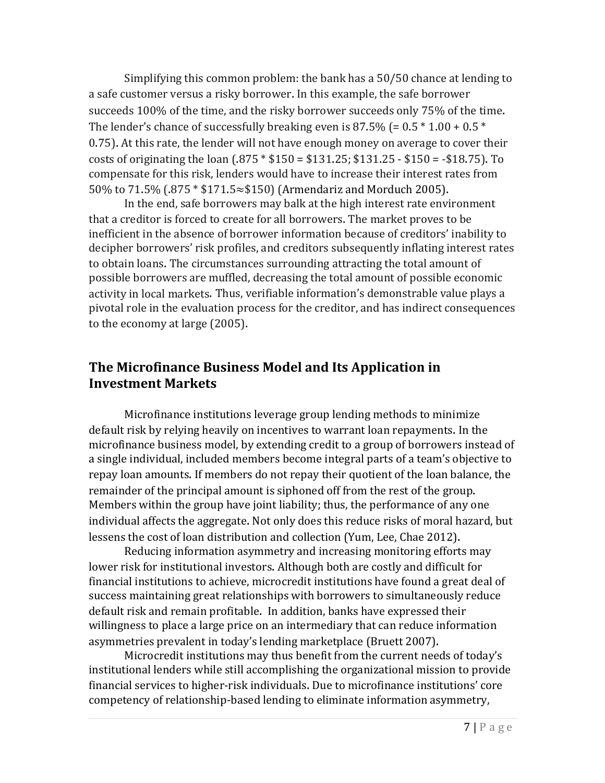Simplifying this common problem: the bank has a 50/50 chance at lending to a safe customer versus a risky borrower. In this example, the safe borrower succeeds 100% of the time, and the risky borrower succeeds only 75% of the time. The lender's chance of successfully breaking even is 87.5% (=  $0.5 * 1.00 * 0.5 *$ 0.75). At this rate, the lender will not have enough money on average to cover their costs of originating the loan (.875 \* \$150 = \$131.25; \$131.25 - \$150 = -\$18.75). To compensate for this risk, lenders would have to increase their interest rates from 50% to 71.5% (.875 \* \$171.5≈\$150) (Armendariz and Morduch 2005).

In the end, safe borrowers may balk at the high interest rate environment that a creditor is forced to create for all borrowers. The market proves to be inefficient in the absence of borrower information because of creditors' inability to decipher borrowers' risk profiles, and creditors subsequently inflating interest rates to obtain loans. The circumstances surrounding attracting the total amount of possible borrowers are muffled, decreasing the total amount of possible economic activity in local markets. Thus, verifiable information's demonstrable value plays a pivotal role in the evaluation process for the creditor, and has indirect consequences to the economy at large (2005).

#### **The Microfinance Business Model and Its Application in Investment Markets**

Microfinance institutions leverage group lending methods to minimize default risk by relying heavily on incentives to warrant loan repayments. In the microfinance business model, by extending credit to a group of borrowers instead of a single individual, included members become integral parts of a team's objective to repay loan amounts. If members do not repay their quotient of the loan balance, the remainder of the principal amount is siphoned off from the rest of the group. Members within the group have joint liability; thus, the performance of any one individual affects the aggregate. Not only does this reduce risks of moral hazard, but lessens the cost of loan distribution and collection (Yum, Lee, Chae 2012).

Reducing information asymmetry and increasing monitoring efforts may lower risk for institutional investors. Although both are costly and difficult for financial institutions to achieve, microcredit institutions have found a great deal of success maintaining great relationships with borrowers to simultaneously reduce default risk and remain profitable. In addition, banks have expressed their willingness to place a large price on an intermediary that can reduce information asymmetries prevalent in today's lending marketplace (Bruett 2007).

Microcredit institutions may thus benefit from the current needs of today's institutional lenders while still accomplishing the organizational mission to provide financial services to higher-risk individuals. Due to microfinance institutions' core competency of relationship-based lending to eliminate information asymmetry,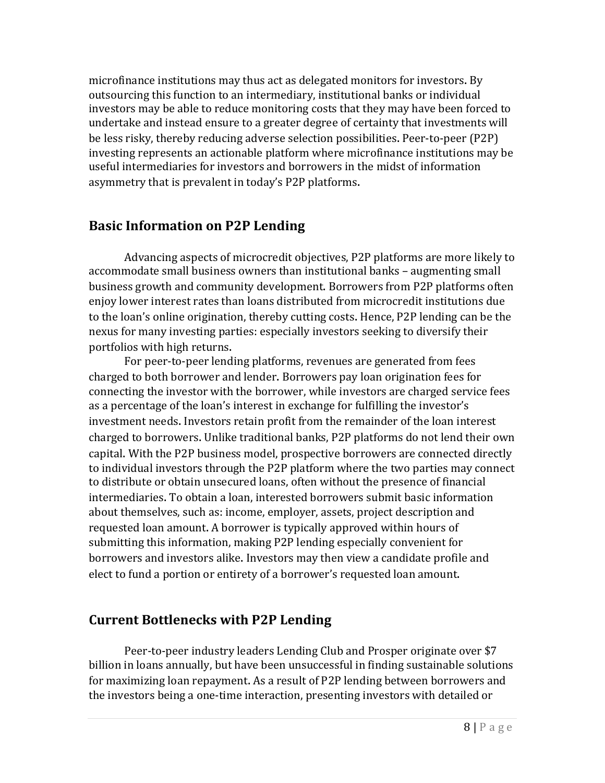microfinance institutions may thus act as delegated monitors for investors. By outsourcing this function to an intermediary, institutional banks or individual investors may be able to reduce monitoring costs that they may have been forced to undertake and instead ensure to a greater degree of certainty that investments will be less risky, thereby reducing adverse selection possibilities. Peer-to-peer (P2P) investing represents an actionable platform where microfinance institutions may be useful intermediaries for investors and borrowers in the midst of information asymmetry that is prevalent in today's P2P platforms.

#### **Basic Information on P2P Lending**

Advancing aspects of microcredit objectives, P2P platforms are more likely to accommodate small business owners than institutional banks – augmenting small business growth and community development. Borrowers from P2P platforms often enjoy lower interest rates than loans distributed from microcredit institutions due to the loan's online origination, thereby cutting costs. Hence, P2P lending can be the nexus for many investing parties: especially investors seeking to diversify their portfolios with high returns.

For peer-to-peer lending platforms, revenues are generated from fees charged to both borrower and lender. Borrowers pay loan origination fees for connecting the investor with the borrower, while investors are charged service fees as a percentage of the loan's interest in exchange for fulfilling the investor's investment needs. Investors retain profit from the remainder of the loan interest charged to borrowers. Unlike traditional banks, P2P platforms do not lend their own capital. With the P2P business model, prospective borrowers are connected directly to individual investors through the P2P platform where the two parties may connect to distribute or obtain unsecured loans, often without the presence of financial intermediaries. To obtain a loan, interested borrowers submit basic information about themselves, such as: income, employer, assets, project description and requested loan amount. A borrower is typically approved within hours of submitting this information, making P2P lending especially convenient for borrowers and investors alike. Investors may then view a candidate profile and elect to fund a portion or entirety of a borrower's requested loan amount.

#### **Current Bottlenecks with P2P Lending**

Peer-to-peer industry leaders Lending Club and Prosper originate over \$7 billion in loans annually, but have been unsuccessful in finding sustainable solutions for maximizing loan repayment. As a result of P2P lending between borrowers and the investors being a one-time interaction, presenting investors with detailed or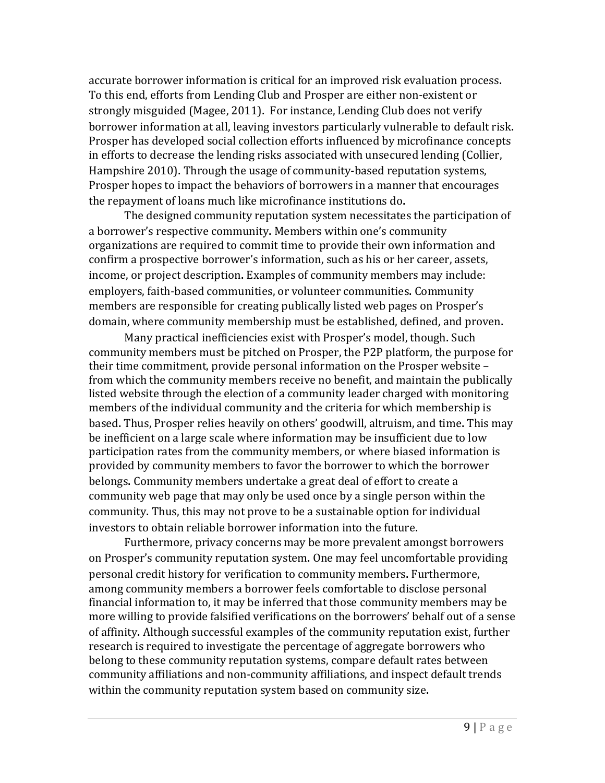accurate borrower information is critical for an improved risk evaluation process. To this end, efforts from Lending Club and Prosper are either non-existent or strongly misguided (Magee, 2011). For instance, Lending Club does not verify borrower information at all, leaving investors particularly vulnerable to default risk. Prosper has developed social collection efforts influenced by microfinance concepts in efforts to decrease the lending risks associated with unsecured lending (Collier, Hampshire 2010). Through the usage of community-based reputation systems, Prosper hopes to impact the behaviors of borrowers in a manner that encourages the repayment of loans much like microfinance institutions do.

The designed community reputation system necessitates the participation of a borrower's respective community. Members within one's community organizations are required to commit time to provide their own information and confirm a prospective borrower's information, such as his or her career, assets, income, or project description. Examples of community members may include: employers, faith-based communities, or volunteer communities. Community members are responsible for creating publically listed web pages on Prosper's domain, where community membership must be established, defined, and proven.

Many practical inefficiencies exist with Prosper's model, though. Such community members must be pitched on Prosper, the P2P platform, the purpose for their time commitment, provide personal information on the Prosper website – from which the community members receive no benefit, and maintain the publically listed website through the election of a community leader charged with monitoring members of the individual community and the criteria for which membership is based. Thus, Prosper relies heavily on others' goodwill, altruism, and time. This may be inefficient on a large scale where information may be insufficient due to low participation rates from the community members, or where biased information is provided by community members to favor the borrower to which the borrower belongs. Community members undertake a great deal of effort to create a community web page that may only be used once by a single person within the community. Thus, this may not prove to be a sustainable option for individual investors to obtain reliable borrower information into the future.

Furthermore, privacy concerns may be more prevalent amongst borrowers on Prosper's community reputation system. One may feel uncomfortable providing personal credit history for verification to community members. Furthermore, among community members a borrower feels comfortable to disclose personal financial information to, it may be inferred that those community members may be more willing to provide falsified verifications on the borrowers' behalf out of a sense of affinity. Although successful examples of the community reputation exist, further research is required to investigate the percentage of aggregate borrowers who belong to these community reputation systems, compare default rates between community affiliations and non-community affiliations, and inspect default trends within the community reputation system based on community size.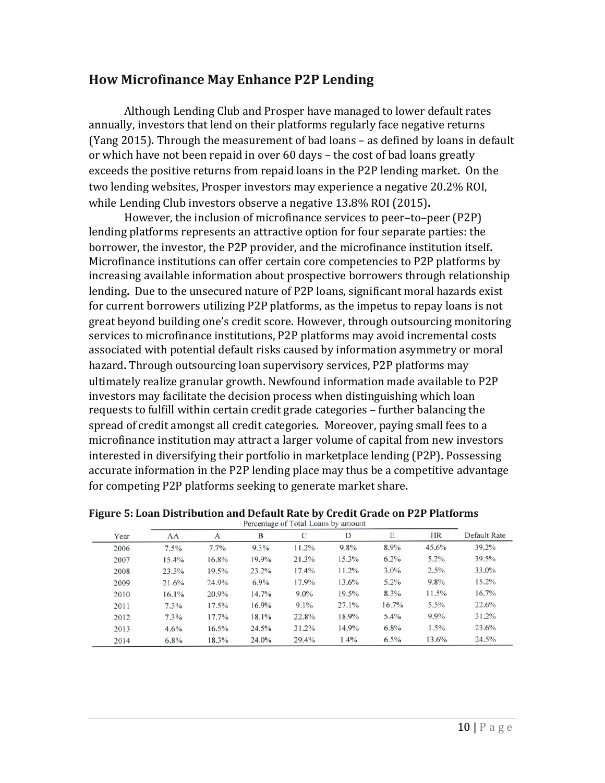#### **How Microfinance May Enhance P2P Lending**

Although Lending Club and Prosper have managed to lower default rates annually, investors that lend on their platforms regularly face negative returns (Yang 2015). Through the measurement of bad loans – as defined by loans in default or which have not been repaid in over 60 days – the cost of bad loans greatly exceeds the positive returns from repaid loans in the P2P lending market. On the two lending websites, Prosper investors may experience a negative 20.2% ROI, while Lending Club investors observe a negative 13.8% ROI (2015).

However, the inclusion of microfinance services to peer–to–peer (P2P) lending platforms represents an attractive option for four separate parties: the borrower, the investor, the P2P provider, and the microfinance institution itself. Microfinance institutions can offer certain core competencies to P2P platforms by increasing available information about prospective borrowers through relationship lending. Due to the unsecured nature of P2P loans, significant moral hazards exist for current borrowers utilizing P2P platforms, as the impetus to repay loans is not great beyond building one's credit score. However, through outsourcing monitoring services to microfinance institutions, P2P platforms may avoid incremental costs associated with potential default risks caused by information asymmetry or moral hazard. Through outsourcing loan supervisory services, P2P platforms may ultimately realize granular growth. Newfound information made available to P2P investors may facilitate the decision process when distinguishing which loan requests to fulfill within certain credit grade categories – further balancing the spread of credit amongst all credit categories. Moreover, paying small fees to a microfinance institution may attract a larger volume of capital from new investors interested in diversifying their portfolio in marketplace lending (P2P). Possessing accurate information in the P2P lending place may thus be a competitive advantage for competing P2P platforms seeking to generate market share.

| Year | AA      | A       | B     | C       | D        | Е       | <b>HR</b> | Default Rate |
|------|---------|---------|-------|---------|----------|---------|-----------|--------------|
| 2006 | 7.5%    | $7.7\%$ | 9.3%  | 11.2%   | 9.8%     | 8.9%    | $45.6\%$  | 39.2%        |
| 2007 | 15.4%   | 16.8%   | 19.9% | 21.3%   | $15.3\%$ | $6.2\%$ | $5.2\%$   | 39.5%        |
| 2008 | 23.3%   | 19.5%   | 23.2% | 17.4%   | 11.2%    | $3.0\%$ | 2.5%      | 33.0%        |
| 2009 | 21.6%   | 24.9%   | 6.9%  | 17.9%   | 13.6%    | $5.2\%$ | 9.8%      | 15.2%        |
| 2010 | 16.1%   | 20.9%   | 14.7% | $9.0\%$ | 19.5%    | 8.3%    | $11.5\%$  | 16.7%        |
| 2011 | $7.3\%$ | 17.5%   | 16.9% | $9.1\%$ | 27.1%    | 16.7%   | $5.5\%$   | 22.6%        |
| 2012 | 7.3%    | 17.7%   | 18.1% | 22.8%   | 18.9%    | $5.4\%$ | $9.9\%$   | 31.2%        |
| 2013 | 4.6%    | 16.5%   | 24.5% | 31.2%   | 14.9%    | 6.8%    | $1.5\%$   | 23.6%        |
| 2014 | $6.8\%$ | 18.3%   | 24.0% | 29.4%   | 1.4%     | 6.5%    | 13.6%     | 24.5%        |

**Figure 5: Loan Distribution and Default Rate by Credit Grade on P2P Platforms**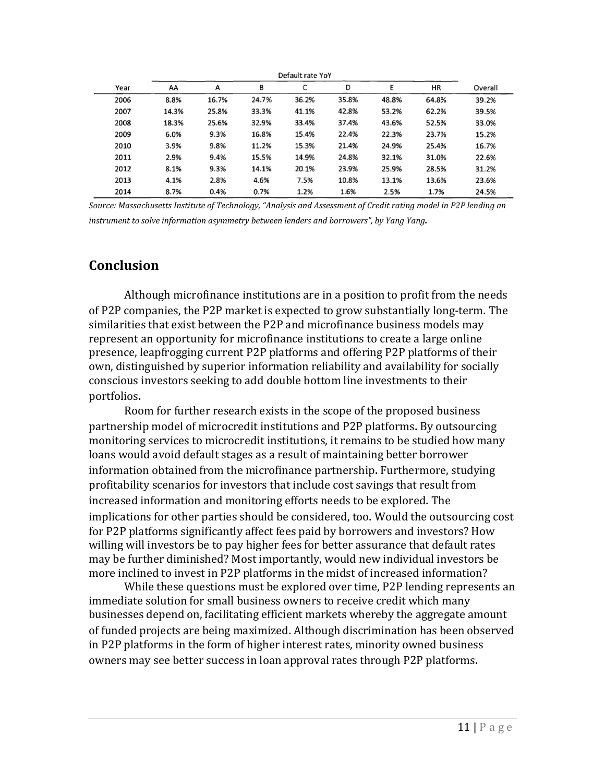|      | Default rate YoY |       |       |       |       |       |       |         |  |
|------|------------------|-------|-------|-------|-------|-------|-------|---------|--|
| Year | AA               | A     | В     | C     | D     | E     | ΗR    | Overall |  |
| 2006 | 8.8%             | 16.7% | 24.7% | 36.2% | 35.8% | 48.8% | 64.8% | 39.2%   |  |
| 2007 | 14.3%            | 25.8% | 33.3% | 41.1% | 42.8% | 53.2% | 62.2% | 39.5%   |  |
| 2008 | 18.3%            | 25.6% | 32.9% | 33.4% | 37.4% | 43.6% | 52.5% | 33.0%   |  |
| 2009 | 6.0%             | 9.3%  | 16.8% | 15.4% | 22.4% | 22.3% | 23.7% | 15.2%   |  |
| 2010 | 3.9%             | 9.8%  | 11.2% | 15.3% | 21.4% | 24.9% | 25.4% | 16.7%   |  |
| 2011 | 2.9%             | 9.4%  | 15.5% | 14.9% | 24.8% | 32.1% | 31.0% | 22.6%   |  |
| 2012 | 8.1%             | 9.3%  | 14.1% | 20.1% | 23.9% | 25.9% | 28.5% | 31.2%   |  |
| 2013 | 4.1%             | 2.8%  | 4.6%  | 7.5%  | 10.8% | 13.1% | 13.6% | 23.6%   |  |
| 2014 | 8.7%             | 0.4%  | 0.7%  | 1.2%  | 1.6%  | 2.5%  | 1.7%  | 24.5%   |  |

*Source: Massachusetts Institute of Technology, "Analysis and Assessment of Credit rating model in P2P lending an instrument to solve information asymmetry between lenders and borrowers", by Yang Yang.*

#### **Conclusion**

Although microfinance institutions are in a position to profit from the needs of P2P companies, the P2P market is expected to grow substantially long-term. The similarities that exist between the P2P and microfinance business models may represent an opportunity for microfinance institutions to create a large online presence, leapfrogging current P2P platforms and offering P2P platforms of their own, distinguished by superior information reliability and availability for socially conscious investors seeking to add double bottom line investments to their portfolios.

Room for further research exists in the scope of the proposed business partnership model of microcredit institutions and P2P platforms. By outsourcing monitoring services to microcredit institutions, it remains to be studied how many loans would avoid default stages as a result of maintaining better borrower information obtained from the microfinance partnership. Furthermore, studying profitability scenarios for investors that include cost savings that result from increased information and monitoring efforts needs to be explored. The implications for other parties should be considered, too. Would the outsourcing cost for P2P platforms significantly affect fees paid by borrowers and investors? How willing will investors be to pay higher fees for better assurance that default rates may be further diminished? Most importantly, would new individual investors be more inclined to invest in P2P platforms in the midst of increased information?

While these questions must be explored over time, P2P lending represents an immediate solution for small business owners to receive credit which many businesses depend on, facilitating efficient markets whereby the aggregate amount of funded projects are being maximized. Although discrimination has been observed in P2P platforms in the form of higher interest rates, minority owned business owners may see better success in loan approval rates through P2P platforms.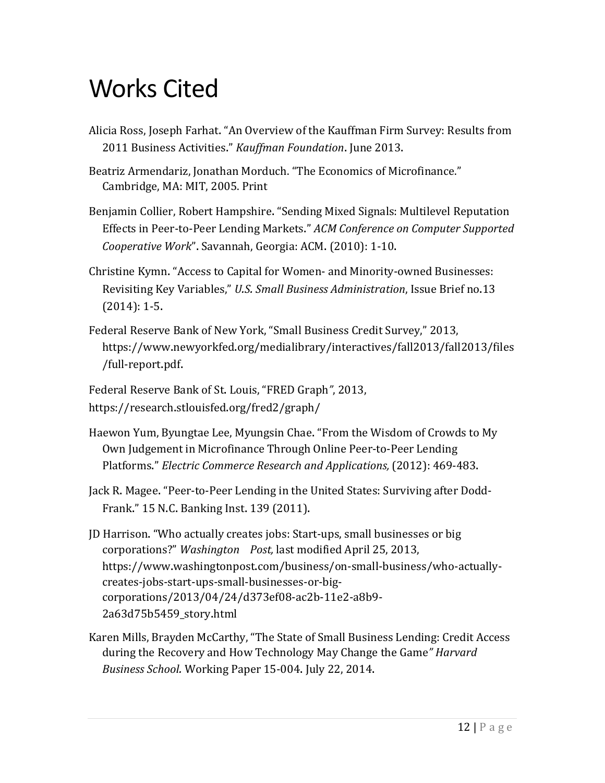# Works Cited

- Alicia Ross, Joseph Farhat. "An Overview of the Kauffman Firm Survey: Results from 2011 Business Activities." *Kauffman Foundation*. June 2013.
- Beatriz Armendariz, Jonathan Morduch. "The Economics of Microfinance." Cambridge, MA: MIT, 2005. Print
- Benjamin Collier, Robert Hampshire. "Sending Mixed Signals: Multilevel Reputation Effects in Peer-to-Peer Lending Markets." *ACM Conference on Computer Supported Cooperative Work*". Savannah, Georgia: ACM. (2010): 1-10.
- Christine Kymn. "Access to Capital for Women- and Minority-owned Businesses: Revisiting Key Variables," *U.S. Small Business Administration*, Issue Brief no.13 (2014): 1-5.
- Federal Reserve Bank of New York, "Small Business Credit Survey," 2013, https://www.newyorkfed.org/medialibrary/interactives/fall2013/fall2013/files /full-report.pdf.
- Federal Reserve Bank of St. Louis, "FRED Graph*"*, 2013, https://research.stlouisfed.org/fred2/graph/
- Haewon Yum, Byungtae Lee, Myungsin Chae. "From the Wisdom of Crowds to My Own Judgement in Microfinance Through Online Peer-to-Peer Lending Platforms." *Electric Commerce Research and Applications,* (2012): 469-483.
- Jack R. Magee. "Peer-to-Peer Lending in the United States: Surviving after Dodd-Frank." 15 N.C. Banking Inst. 139 (2011).
- JD Harrison. "Who actually creates jobs: Start-ups, small businesses or big corporations?" *Washington Post,* last modified April 25, 2013, https://www.washingtonpost.com/business/on-small-business/who-actuallycreates-jobs-start-ups-small-businesses-or-bigcorporations/2013/04/24/d373ef08-ac2b-11e2-a8b9- 2a63d75b5459\_story.html
- Karen Mills, Brayden McCarthy, "The State of Small Business Lending: Credit Access during the Recovery and How Technology May Change the Game*" Harvard Business School.* Working Paper 15-004. July 22, 2014.